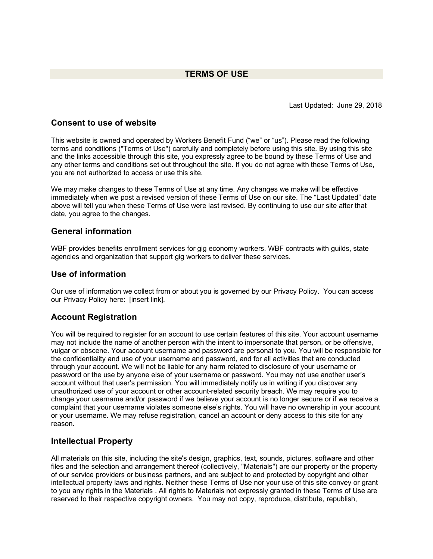# **TERMS OF USE**

Last Updated: June 29, 2018

#### **Consent to use of website**

This website is owned and operated by Workers Benefit Fund ("we" or "us"). Please read the following terms and conditions ("Terms of Use") carefully and completely before using this site. By using this site and the links accessible through this site, you expressly agree to be bound by these Terms of Use and any other terms and conditions set out throughout the site. If you do not agree with these Terms of Use, you are not authorized to access or use this site.

We may make changes to these Terms of Use at any time. Any changes we make will be effective immediately when we post a revised version of these Terms of Use on our site. The "Last Updated" date above will tell you when these Terms of Use were last revised. By continuing to use our site after that date, you agree to the changes.

#### **General information**

WBF provides benefits enrollment services for gig economy workers. WBF contracts with guilds, state agencies and organization that support gig workers to deliver these services.

#### **Use of information**

Our use of information we collect from or about you is governed by our Privacy Policy. You can access our Privacy Policy here: [insert link].

## **Account Registration**

You will be required to register for an account to use certain features of this site. Your account username may not include the name of another person with the intent to impersonate that person, or be offensive, vulgar or obscene. Your account username and password are personal to you. You will be responsible for the confidentiality and use of your username and password, and for all activities that are conducted through your account. We will not be liable for any harm related to disclosure of your username or password or the use by anyone else of your username or password. You may not use another user's account without that user's permission. You will immediately notify us in writing if you discover any unauthorized use of your account or other account-related security breach. We may require you to change your username and/or password if we believe your account is no longer secure or if we receive a complaint that your username violates someone else's rights. You will have no ownership in your account or your username. We may refuse registration, cancel an account or deny access to this site for any reason.

## **Intellectual Property**

All materials on this site, including the site's design, graphics, text, sounds, pictures, software and other files and the selection and arrangement thereof (collectively, "Materials") are our property or the property of our service providers or business partners, and are subject to and protected by copyright and other intellectual property laws and rights. Neither these Terms of Use nor your use of this site convey or grant to you any rights in the Materials . All rights to Materials not expressly granted in these Terms of Use are reserved to their respective copyright owners. You may not copy, reproduce, distribute, republish,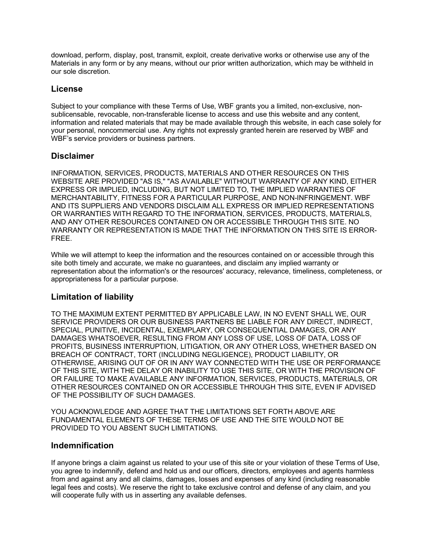download, perform, display, post, transmit, exploit, create derivative works or otherwise use any of the Materials in any form or by any means, without our prior written authorization, which may be withheld in our sole discretion.

## **License**

Subject to your compliance with these Terms of Use, WBF grants you a limited, non-exclusive, nonsublicensable, revocable, non-transferable license to access and use this website and any content, information and related materials that may be made available through this website, in each case solely for your personal, noncommercial use. Any rights not expressly granted herein are reserved by WBF and WBF's service providers or business partners.

## **Disclaimer**

INFORMATION, SERVICES, PRODUCTS, MATERIALS AND OTHER RESOURCES ON THIS WEBSITE ARE PROVIDED "AS IS," "AS AVAILABLE" WITHOUT WARRANTY OF ANY KIND, EITHER EXPRESS OR IMPLIED, INCLUDING, BUT NOT LIMITED TO, THE IMPLIED WARRANTIES OF MERCHANTABILITY, FITNESS FOR A PARTICULAR PURPOSE, AND NON-INFRINGEMENT. WBF AND ITS SUPPLIERS AND VENDORS DISCLAIM ALL EXPRESS OR IMPLIED REPRESENTATIONS OR WARRANTIES WITH REGARD TO THE INFORMATION, SERVICES, PRODUCTS, MATERIALS, AND ANY OTHER RESOURCES CONTAINED ON OR ACCESSIBLE THROUGH THIS SITE. NO WARRANTY OR REPRESENTATION IS MADE THAT THE INFORMATION ON THIS SITE IS ERROR-FREE.

While we will attempt to keep the information and the resources contained on or accessible through this site both timely and accurate, we make no guarantees, and disclaim any implied warranty or representation about the information's or the resources' accuracy, relevance, timeliness, completeness, or appropriateness for a particular purpose.

## **Limitation of liability**

TO THE MAXIMUM EXTENT PERMITTED BY APPLICABLE LAW, IN NO EVENT SHALL WE, OUR SERVICE PROVIDERS OR OUR BUSINESS PARTNERS BE LIABLE FOR ANY DIRECT, INDIRECT, SPECIAL, PUNITIVE, INCIDENTAL, EXEMPLARY, OR CONSEQUENTIAL DAMAGES, OR ANY DAMAGES WHATSOEVER, RESULTING FROM ANY LOSS OF USE, LOSS OF DATA, LOSS OF PROFITS, BUSINESS INTERRUPTION, LITIGATION, OR ANY OTHER LOSS, WHETHER BASED ON BREACH OF CONTRACT, TORT (INCLUDING NEGLIGENCE), PRODUCT LIABILITY, OR OTHERWISE, ARISING OUT OF OR IN ANY WAY CONNECTED WITH THE USE OR PERFORMANCE OF THIS SITE, WITH THE DELAY OR INABILITY TO USE THIS SITE, OR WITH THE PROVISION OF OR FAILURE TO MAKE AVAILABLE ANY INFORMATION, SERVICES, PRODUCTS, MATERIALS, OR OTHER RESOURCES CONTAINED ON OR ACCESSIBLE THROUGH THIS SITE, EVEN IF ADVISED OF THE POSSIBILITY OF SUCH DAMAGES.

YOU ACKNOWLEDGE AND AGREE THAT THE LIMITATIONS SET FORTH ABOVE ARE FUNDAMENTAL ELEMENTS OF THESE TERMS OF USE AND THE SITE WOULD NOT BE PROVIDED TO YOU ABSENT SUCH LIMITATIONS.

#### **Indemnification**

If anyone brings a claim against us related to your use of this site or your violation of these Terms of Use, you agree to indemnify, defend and hold us and our officers, directors, employees and agents harmless from and against any and all claims, damages, losses and expenses of any kind (including reasonable legal fees and costs). We reserve the right to take exclusive control and defense of any claim, and you will cooperate fully with us in asserting any available defenses.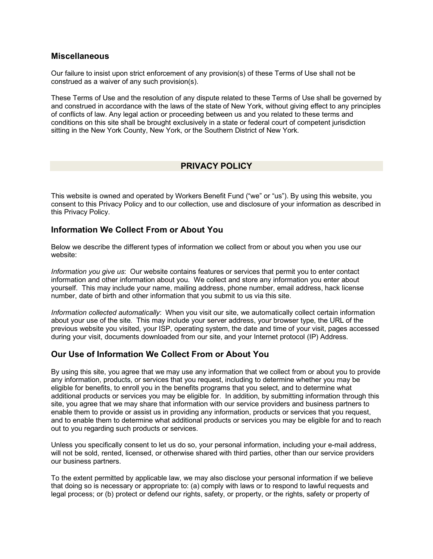#### **Miscellaneous**

Our failure to insist upon strict enforcement of any provision(s) of these Terms of Use shall not be construed as a waiver of any such provision(s).

These Terms of Use and the resolution of any dispute related to these Terms of Use shall be governed by and construed in accordance with the laws of the state of New York, without giving effect to any principles of conflicts of law. Any legal action or proceeding between us and you related to these terms and conditions on this site shall be brought exclusively in a state or federal court of competent jurisdiction sitting in the New York County, New York, or the Southern District of New York.

## **PRIVACY POLICY**

This website is owned and operated by Workers Benefit Fund ("we" or "us"). By using this website, you consent to this Privacy Policy and to our collection, use and disclosure of your information as described in this Privacy Policy.

## **Information We Collect From or About You**

Below we describe the different types of information we collect from or about you when you use our website:

*Information you give us*: Our website contains features or services that permit you to enter contact information and other information about you. We collect and store any information you enter about yourself. This may include your name, mailing address, phone number, email address, hack license number, date of birth and other information that you submit to us via this site.

*Information collected automatically*: When you visit our site, we automatically collect certain information about your use of the site. This may include your server address, your browser type, the URL of the previous website you visited, your ISP, operating system, the date and time of your visit, pages accessed during your visit, documents downloaded from our site, and your Internet protocol (IP) Address.

## **Our Use of Information We Collect From or About You**

By using this site, you agree that we may use any information that we collect from or about you to provide any information, products, or services that you request, including to determine whether you may be eligible for benefits, to enroll you in the benefits programs that you select, and to determine what additional products or services you may be eligible for. In addition, by submitting information through this site, you agree that we may share that information with our service providers and business partners to enable them to provide or assist us in providing any information, products or services that you request, and to enable them to determine what additional products or services you may be eligible for and to reach out to you regarding such products or services.

Unless you specifically consent to let us do so, your personal information, including your e-mail address, will not be sold, rented, licensed, or otherwise shared with third parties, other than our service providers our business partners.

To the extent permitted by applicable law, we may also disclose your personal information if we believe that doing so is necessary or appropriate to: (a) comply with laws or to respond to lawful requests and legal process; or (b) protect or defend our rights, safety, or property, or the rights, safety or property of